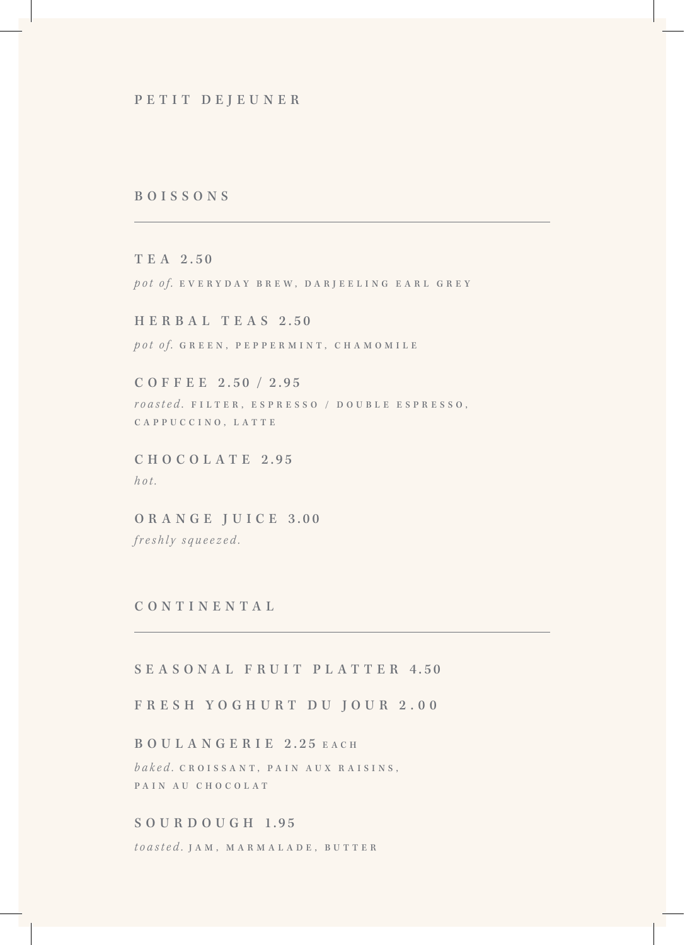### BOISSONS

T E A 2.50 pot of. EVERYDAY BREW, DARJEELING EARL GREY

H E R B A L T E A S 2.50 pot of. GREEN, PEPPERMINT, CHAMOMILE

C O F F E E 2.50 / 2.95 roasted. FILTER, ESPRESSO / DOUBLE ESPRESSO, CAPPUCCINO, LATTE

C H O C O L A T E 2.95 hot.

ORANGE JUICE 3.00 freshly squeezed.

### CONTINENTAL

## SEASONAL FRUIT PLATTER 4.50

FRESH YOGHURT DU JOUR 2.00

BOULANGERIE 2.25 EACH baked. C R O I S S A N T, P A I N A U X R A I S I N S, PAIN AU CHOCOLAT

# S O U R D O U G H 1.95

toasted. JAM, MARMALADE, BUTTER